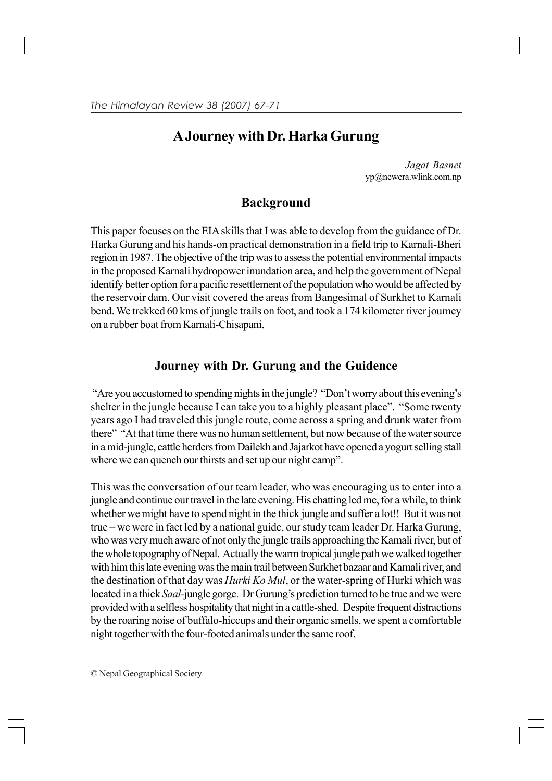## **A Journey with Dr. Harka Gurung**

 *Jagat Basnet* yp@newera.wlink.com.np

## **Background**

This paper focuses on the EIA skills that I was able to develop from the guidance of Dr. Harka Gurung and his hands-on practical demonstration in a field trip to Karnali-Bheri region in 1987. The objective of the trip was to assess the potential environmental impacts in the proposed Karnali hydropower inundation area, and help the government of Nepal identify better option for a pacific resettlement of the population who would be affected by the reservoir dam. Our visit covered the areas from Bangesimal of Surkhet to Karnali bend. We trekked 60 kms of jungle trails on foot, and took a 174 kilometer river journey on a rubber boat from Karnali-Chisapani.

## **Journey with Dr. Gurung and the Guidence**

"Are you accustomed to spending nights in the jungle? "Don't worry about this evening's shelter in the jungle because I can take you to a highly pleasant place". "Some twenty years ago I had traveled this jungle route, come across a spring and drunk water from there" "At that time there was no human settlement, but now because of the water source in a mid-jungle, cattle herders from Dailekh and Jajarkot have opened a yogurt selling stall where we can quench our thirsts and set up our night camp".

This was the conversation of our team leader, who was encouraging us to enter into a jungle and continue our travel in the late evening. His chatting led me, for a while, to think whether we might have to spend night in the thick jungle and suffer a lot!! But it was not true – we were in fact led by a national guide, our study team leader Dr. Harka Gurung, who was very much aware of not only the jungle trails approaching the Karnali river, but of the whole topography of Nepal. Actually the warm tropical jungle path we walked together with him this late evening was the main trail between Surkhet bazaar and Karnali river, and the destination of that day was *Hurki Ko Mul*, or the water-spring of Hurki which was located in a thick *Saal-*jungle gorge. Dr Gurung's prediction turned to be true and we were provided with a selfless hospitality that night in a cattle-shed. Despite frequent distractions by the roaring noise of buffalo-hiccups and their organic smells, we spent a comfortable night together with the four-footed animals under the same roof.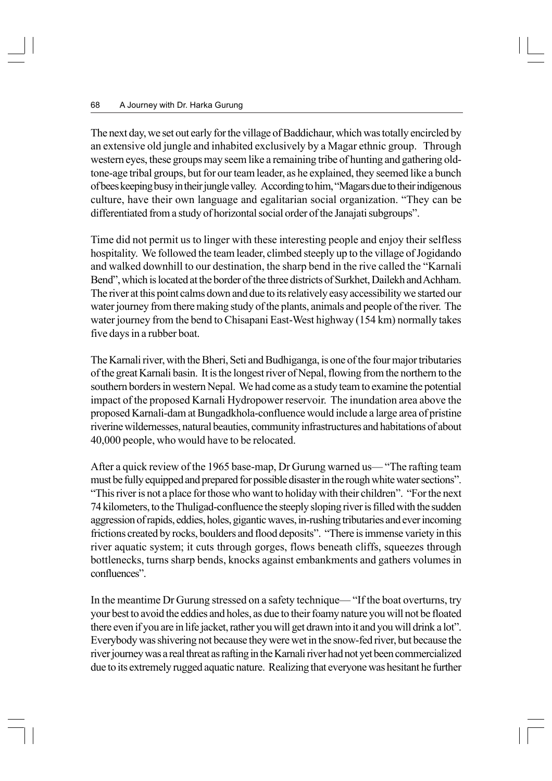The next day, we set out early for the village of Baddichaur, which was totally encircled by an extensive old jungle and inhabited exclusively by a Magar ethnic group. Through western eyes, these groups may seem like a remaining tribe of hunting and gathering oldtone-age tribal groups, but for our team leader, as he explained, they seemed like a bunch of bees keeping busy in their jungle valley. According to him, "Magars due to their indigenous culture, have their own language and egalitarian social organization. "They can be differentiated from a study of horizontal social order of the Janajati subgroups".

Time did not permit us to linger with these interesting people and enjoy their selfless hospitality. We followed the team leader, climbed steeply up to the village of Jogidando and walked downhill to our destination, the sharp bend in the rive called the "Karnali Bend", which is located at the border of the three districts of Surkhet, Dailekh and Achham. The river at this point calms down and due to its relatively easy accessibility we started our water journey from there making study of the plants, animals and people of the river. The water journey from the bend to Chisapani East-West highway (154 km) normally takes five days in a rubber boat.

The Karnali river, with the Bheri, Seti and Budhiganga, is one of the four major tributaries of the great Karnali basin. It is the longest river of Nepal, flowing from the northern to the southern borders in western Nepal. We had come as a study team to examine the potential impact of the proposed Karnali Hydropower reservoir. The inundation area above the proposed Karnali-dam at Bungadkhola-confluence would include a large area of pristine riverine wildernesses, natural beauties, community infrastructures and habitations of about 40,000 people, who would have to be relocated.

After a quick review of the 1965 base-map, Dr Gurung warned us— "The rafting team must be fully equipped and prepared for possible disaster in the rough white water sections". "This river is not a place for those who want to holiday with their children". "For the next 74 kilometers, to the Thuligad-confluence the steeply sloping river is filled with the sudden aggression of rapids, eddies, holes, gigantic waves, in-rushing tributaries and ever incoming frictions created by rocks, boulders and flood deposits". "There is immense variety in this river aquatic system; it cuts through gorges, flows beneath cliffs, squeezes through bottlenecks, turns sharp bends, knocks against embankments and gathers volumes in confluences".

In the meantime Dr Gurung stressed on a safety technique— "If the boat overturns, try your best to avoid the eddies and holes, as due to their foamy nature you will not be floated there even if you are in life jacket, rather you will get drawn into it and you will drink a lot". Everybody was shivering not because they were wet in the snow-fed river, but because the river journey was a real threat as rafting in the Karnali river had not yet been commercialized due to its extremely rugged aquatic nature. Realizing that everyone was hesitant he further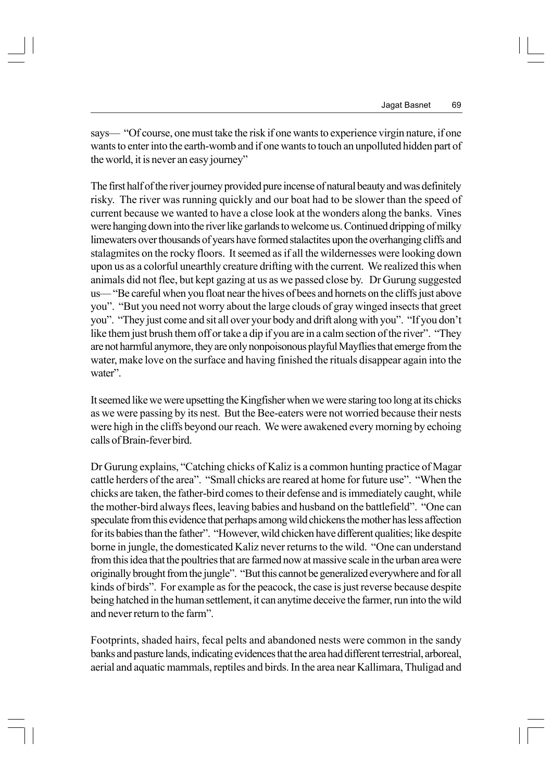says— "Of course, one must take the risk if one wants to experience virgin nature, if one wants to enter into the earth-womb and if one wants to touch an unpolluted hidden part of the world, it is never an easy journey"

The first half of the river journey provided pure incense of natural beauty and was definitely risky. The river was running quickly and our boat had to be slower than the speed of current because we wanted to have a close look at the wonders along the banks. Vines were hanging down into the river like garlands to welcome us. Continued dripping of milky limewaters over thousands of years have formed stalactites upon the overhanging cliffs and stalagmites on the rocky floors. It seemed as if all the wildernesses were looking down upon us as a colorful unearthly creature drifting with the current. We realized this when animals did not flee, but kept gazing at us as we passed close by. Dr Gurung suggested us— "Be careful when you float near the hives of bees and hornets on the cliffs just above you". "But you need not worry about the large clouds of gray winged insects that greet you". "They just come and sit all over your body and drift along with you". "If you don't like them just brush them off or take a dip if you are in a calm section of the river". "They are not harmful anymore, they are only nonpoisonous playful Mayflies that emerge from the water, make love on the surface and having finished the rituals disappear again into the water".

It seemed like we were upsetting the Kingfisher when we were staring too long at its chicks as we were passing by its nest. But the Bee-eaters were not worried because their nests were high in the cliffs beyond our reach. We were awakened every morning by echoing calls of Brain-fever bird.

Dr Gurung explains, "Catching chicks of Kaliz is a common hunting practice of Magar cattle herders of the area". "Small chicks are reared at home for future use". "When the chicks are taken, the father-bird comes to their defense and is immediately caught, while the mother-bird always flees, leaving babies and husband on the battlefield". "One can speculate from this evidence that perhaps among wild chickens the mother has less affection for its babies than the father". "However, wild chicken have different qualities; like despite borne in jungle, the domesticated Kaliz never returns to the wild. "One can understand from this idea that the poultries that are farmed now at massive scale in the urban area were originally brought from the jungle". "But this cannot be generalized everywhere and for all kinds of birds". For example as for the peacock, the case is just reverse because despite being hatched in the human settlement, it can anytime deceive the farmer, run into the wild and never return to the farm".

Footprints, shaded hairs, fecal pelts and abandoned nests were common in the sandy banks and pasture lands, indicating evidences that the area had different terrestrial, arboreal, aerial and aquatic mammals, reptiles and birds. In the area near Kallimara, Thuligad and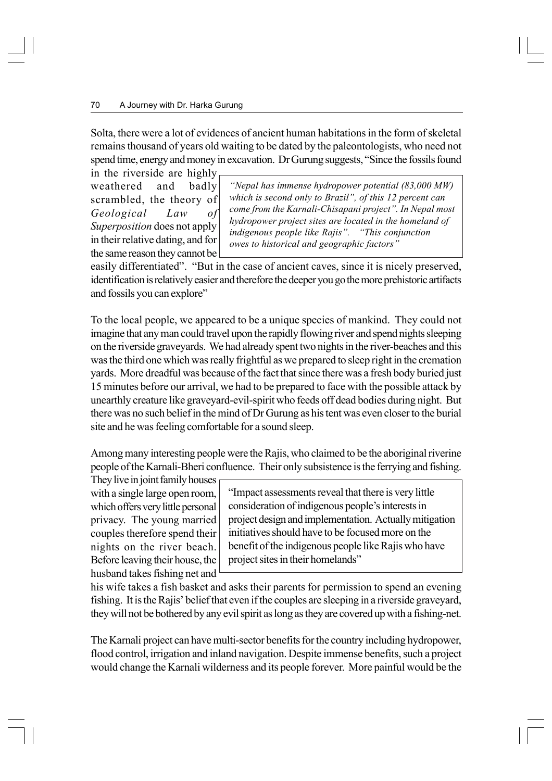Solta, there were a lot of evidences of ancient human habitations in the form of skeletal remains thousand of years old waiting to be dated by the paleontologists, who need not spend time, energy and money in excavation. Dr Gurung suggests, "Since the fossils found

in the riverside are highly weathered and badly scrambled, the theory of *Geological Law of Superposition* does not apply in their relative dating, and for the same reason they cannot be

*"Nepal has immense hydropower potential (83,000 MW) which is second only to Brazil", of this 12 percent can come from the Karnali-Chisapani project". In Nepal most hydropower project sites are located in the homeland of indigenous people like Rajis". "This conjunction owes to historical and geographic factors"*

easily differentiated". "But in the case of ancient caves, since it is nicely preserved, identification is relatively easier and therefore the deeper you go the more prehistoric artifacts and fossils you can explore"

To the local people, we appeared to be a unique species of mankind. They could not imagine that any man could travel upon the rapidly flowing river and spend nights sleeping on the riverside graveyards. We had already spent two nights in the river-beaches and this was the third one which was really frightful as we prepared to sleep right in the cremation yards. More dreadful was because of the fact that since there was a fresh body buried just 15 minutes before our arrival, we had to be prepared to face with the possible attack by unearthly creature like graveyard-evil-spirit who feeds off dead bodies during night. But there was no such belief in the mind of Dr Gurung as his tent was even closer to the burial site and he was feeling comfortable for a sound sleep.

Among many interesting people were the Rajis, who claimed to be the aboriginal riverine people of the Karnali-Bheri confluence. Their only subsistence is the ferrying and fishing.

They live in joint family houses with a single large open room, which offers very little personal privacy. The young married couples therefore spend their nights on the river beach. Before leaving their house, the husband takes fishing net and

"Impact assessments reveal that there is very little consideration of indigenous people's interests in project design and implementation. Actually mitigation initiatives should have to be focused more on the benefit of the indigenous people like Rajis who have project sites in their homelands"

his wife takes a fish basket and asks their parents for permission to spend an evening fishing. It is the Rajis' belief that even if the couples are sleeping in a riverside graveyard, they will not be bothered by any evil spirit as long as they are covered up with a fishing-net.

The Karnali project can have multi-sector benefits for the country including hydropower, flood control, irrigation and inland navigation. Despite immense benefits, such a project would change the Karnali wilderness and its people forever. More painful would be the